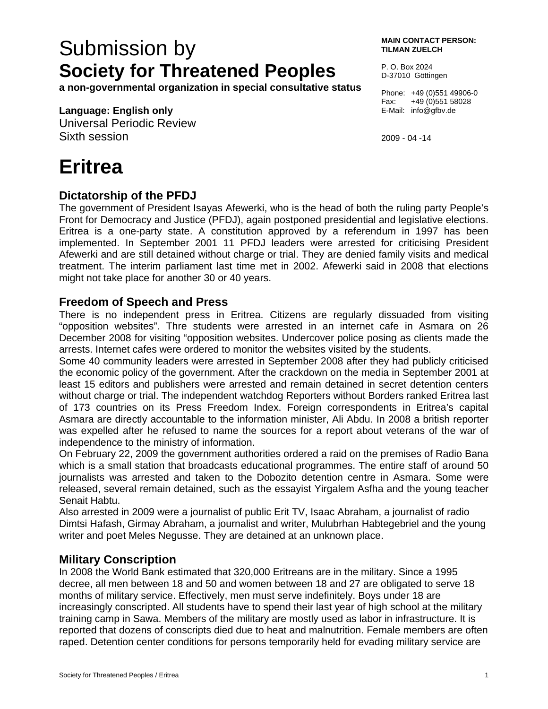# Submission by **Society for Threatened Peoples**

**a non-governmental organization in special consultative status** 

#### **Language: English only**

Universal Periodic Review Sixth session

# **Eritrea**

#### **Dictatorship of the PFDJ**

The government of President Isayas Afewerki, who is the head of both the ruling party People's Front for Democracy and Justice (PFDJ), again postponed presidential and legislative elections. Eritrea is a one-party state. A constitution approved by a referendum in 1997 has been implemented. In September 2001 11 PFDJ leaders were arrested for criticising President Afewerki and are still detained without charge or trial. They are denied family visits and medical treatment. The interim parliament last time met in 2002. Afewerki said in 2008 that elections might not take place for another 30 or 40 years.

### **Freedom of Speech and Press**

There is no independent press in Eritrea. Citizens are regularly dissuaded from visiting "opposition websites". Thre students were arrested in an internet cafe in Asmara on 26 December 2008 for visiting "opposition websites. Undercover police posing as clients made the arrests. Internet cafes were ordered to monitor the websites visited by the students.

Some 40 community leaders were arrested in September 2008 after they had publicly criticised the economic policy of the government. After the crackdown on the media in September 2001 at least 15 editors and publishers were arrested and remain detained in secret detention centers without charge or trial. The independent watchdog Reporters without Borders ranked Eritrea last of 173 countries on its Press Freedom Index. Foreign correspondents in Eritrea's capital Asmara are directly accountable to the information minister, Ali Abdu. In 2008 a british reporter was expelled after he refused to name the sources for a report about veterans of the war of independence to the ministry of information.

On February 22, 2009 the government authorities ordered a raid on the premises of Radio Bana which is a small station that broadcasts educational programmes. The entire staff of around 50 journalists was arrested and taken to the Dobozito detention centre in Asmara. Some were released, several remain detained, such as the essayist Yirgalem Asfha and the young teacher Senait Habtu.

Also arrested in 2009 were a journalist of public Erit TV, Isaac Abraham, a journalist of radio Dimtsi Hafash, Girmay Abraham, a journalist and writer, Mulubrhan Habtegebriel and the young writer and poet Meles Negusse. They are detained at an unknown place.

### **Military Conscription**

In 2008 the World Bank estimated that 320,000 Eritreans are in the military. Since a 1995 decree, all men between 18 and 50 and women between 18 and 27 are obligated to serve 18 months of military service. Effectively, men must serve indefinitely. Boys under 18 are increasingly conscripted. All students have to spend their last year of high school at the military training camp in Sawa. Members of the military are mostly used as labor in infrastructure. It is reported that dozens of conscripts died due to heat and malnutrition. Female members are often raped. Detention center conditions for persons temporarily held for evading military service are

P. O. Box 2024 D-37010 Göttingen

Phone: +49 (0)551 49906-0 Fax: +49 (0)551 58028 E-Mail: info@gfbv.de

2009 - 04 -14